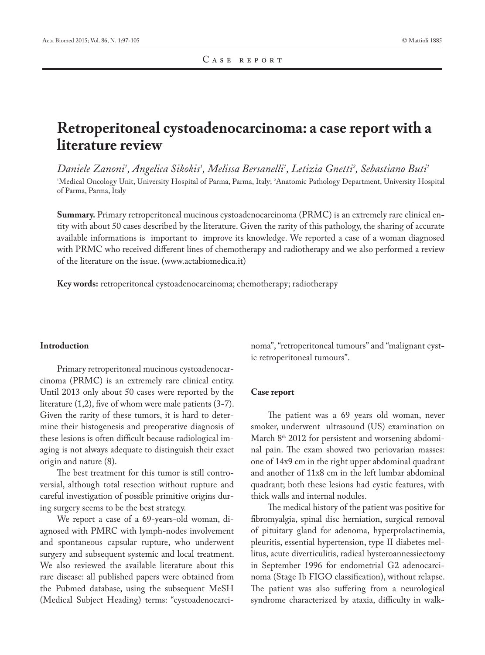# **Retroperitoneal cystoadenocarcinoma: a case report with a literature review**

*Daniele Zanoni1 , Angelica Sikokis1 , Melissa Bersanelli1 , Letizia Gnetti2 , Sebastiano Buti1* 1 Medical Oncology Unit, University Hospital of Parma, Parma, Italy; 2 Anatomic Pathology Department, University Hospital of Parma, Parma, Italy

**Summary.** Primary retroperitoneal mucinous cystoadenocarcinoma (PRMC) is an extremely rare clinical entity with about 50 cases described by the literature. Given the rarity of this pathology, the sharing of accurate available informations is important to improve its knowledge. We reported a case of a woman diagnosed with PRMC who received different lines of chemotherapy and radiotherapy and we also performed a review of the literature on the issue. (www.actabiomedica.it)

**Key words:** retroperitoneal cystoadenocarcinoma; chemotherapy; radiotherapy

#### **Introduction**

Primary retroperitoneal mucinous cystoadenocarcinoma (PRMC) is an extremely rare clinical entity. Until 2013 only about 50 cases were reported by the literature (1,2), five of whom were male patients (3-7). Given the rarity of these tumors, it is hard to determine their histogenesis and preoperative diagnosis of these lesions is often difficult because radiological imaging is not always adequate to distinguish their exact origin and nature (8).

The best treatment for this tumor is still controversial, although total resection without rupture and careful investigation of possible primitive origins during surgery seems to be the best strategy.

We report a case of a 69-years-old woman, diagnosed with PMRC with lymph-nodes involvement and spontaneous capsular rupture, who underwent surgery and subsequent systemic and local treatment. We also reviewed the available literature about this rare disease: all published papers were obtained from the Pubmed database, using the subsequent MeSH (Medical Subject Heading) terms: "cystoadenocarcinoma", "retroperitoneal tumours" and "malignant cystic retroperitoneal tumours".

#### **Case report**

The patient was a 69 years old woman, never smoker, underwent ultrasound (US) examination on March 8<sup>th</sup> 2012 for persistent and worsening abdominal pain. The exam showed two periovarian masses: one of 14x9 cm in the right upper abdominal quadrant and another of 11x8 cm in the left lumbar abdominal quadrant; both these lesions had cystic features, with thick walls and internal nodules.

The medical history of the patient was positive for fibromyalgia, spinal disc herniation, surgical removal of pituitary gland for adenoma, hyperprolactinemia, pleuritis, essential hypertension, type II diabetes mellitus, acute diverticulitis, radical hysteroannessiectomy in September 1996 for endometrial G2 adenocarcinoma (Stage Ib FIGO classification), without relapse. The patient was also suffering from a neurological syndrome characterized by ataxia, difficulty in walk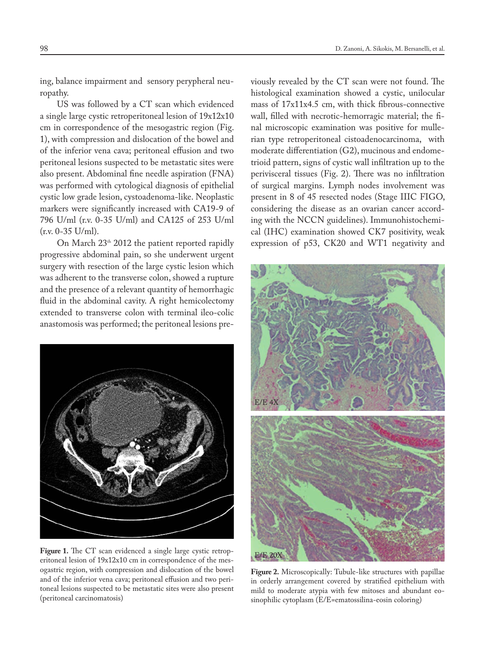ing, balance impairment and sensory perypheral neuropathy.

US was followed by a CT scan which evidenced a single large cystic retroperitoneal lesion of 19x12x10 cm in correspondence of the mesogastric region (Fig. 1), with compression and dislocation of the bowel and of the inferior vena cava; peritoneal effusion and two peritoneal lesions suspected to be metastatic sites were also present. Abdominal fine needle aspiration (FNA) was performed with cytological diagnosis of epithelial cystic low grade lesion, cystoadenoma-like. Neoplastic markers were significantly increased with CA19-9 of 796 U/ml (r.v. 0-35 U/ml) and CA125 of 253 U/ml (r.v. 0-35 U/ml).

On March 23<sup>th</sup> 2012 the patient reported rapidly progressive abdominal pain, so she underwent urgent surgery with resection of the large cystic lesion which was adherent to the transverse colon, showed a rupture and the presence of a relevant quantity of hemorrhagic fluid in the abdominal cavity. A right hemicolectomy extended to transverse colon with terminal ileo-colic anastomosis was performed; the peritoneal lesions pre-



**Figure 1.** The CT scan evidenced a single large cystic retroperitoneal lesion of 19x12x10 cm in correspondence of the mesogastric region, with compression and dislocation of the bowel and of the inferior vena cava; peritoneal effusion and two peritoneal lesions suspected to be metastatic sites were also present (peritoneal carcinomatosis)

viously revealed by the CT scan were not found. The histological examination showed a cystic, unilocular mass of 17x11x4.5 cm, with thick fibrous-connective wall, filled with necrotic-hemorragic material; the final microscopic examination was positive for mullerian type retroperitoneal cistoadenocarcinoma, with moderate differentiation (G2), mucinous and endometrioid pattern, signs of cystic wall infiltration up to the perivisceral tissues (Fig. 2). There was no infiltration of surgical margins. Lymph nodes involvement was present in 8 of 45 resected nodes (Stage IIIC FIGO, considering the disease as an ovarian cancer according with the NCCN guidelines). Immunohistochemical (IHC) examination showed CK7 positivity, weak expression of p53, CK20 and WT1 negativity and



**Figure 2.** Microscopically: Tubule-like structures with papillae in orderly arrangement covered by stratified epithelium with mild to moderate atypia with few mitoses and abundant eosinophilic cytoplasm (E/E=ematossilina-eosin coloring)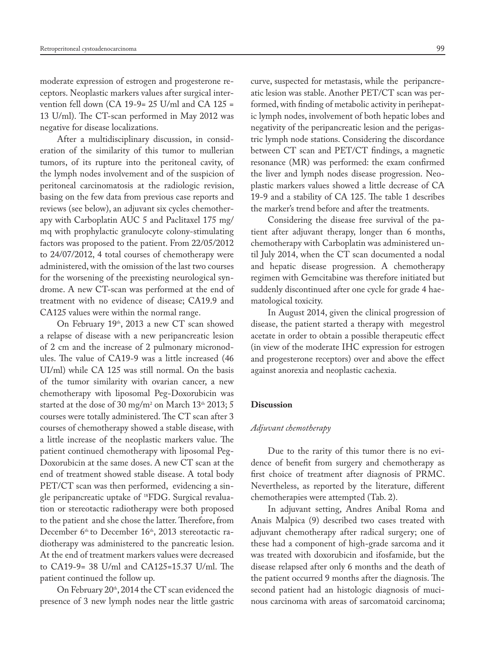moderate expression of estrogen and progesterone receptors. Neoplastic markers values after surgical intervention fell down (CA 19-9= 25 U/ml and CA 125 = 13 U/ml). The CT-scan performed in May 2012 was negative for disease localizations.

After a multidisciplinary discussion, in consideration of the similarity of this tumor to mullerian tumors, of its rupture into the peritoneal cavity, of the lymph nodes involvement and of the suspicion of peritoneal carcinomatosis at the radiologic revision, basing on the few data from previous case reports and reviews (see below), an adjuvant six cycles chemotherapy with Carboplatin AUC 5 and Paclitaxel 175 mg/ mq with prophylactic granulocyte colony-stimulating factors was proposed to the patient. From 22/05/2012 to 24/07/2012, 4 total courses of chemotherapy were administered, with the omission of the last two courses for the worsening of the preexisting neurological syndrome. A new CT-scan was performed at the end of treatment with no evidence of disease; CA19.9 and CA125 values were within the normal range.

On February 19<sup>th</sup>, 2013 a new CT scan showed a relapse of disease with a new peripancreatic lesion of 2 cm and the increase of 2 pulmonary micronodules. The value of CA19-9 was a little increased (46 UI/ml) while CA 125 was still normal. On the basis of the tumor similarity with ovarian cancer, a new chemotherapy with liposomal Peg-Doxorubicin was started at the dose of 30 mg/m<sup>2</sup> on March 13<sup>th</sup> 2013; 5 courses were totally administered. The CT scan after 3 courses of chemotherapy showed a stable disease, with a little increase of the neoplastic markers value. The patient continued chemotherapy with liposomal Peg-Doxorubicin at the same doses. A new CT scan at the end of treatment showed stable disease. A total body PET/CT scan was then performed, evidencing a single peripancreatic uptake of 18FDG. Surgical revaluation or stereotactic radiotherapy were both proposed to the patient and she chose the latter. Therefore, from December 6<sup>th</sup> to December 16<sup>th</sup>, 2013 stereotactic radiotherapy was administered to the pancreatic lesion. At the end of treatment markers values were decreased to CA19-9= 38 U/ml and CA125=15.37 U/ml. The patient continued the follow up.

On February 20<sup>th</sup>, 2014 the CT scan evidenced the presence of 3 new lymph nodes near the little gastric curve, suspected for metastasis, while the peripancreatic lesion was stable. Another PET/CT scan was performed, with finding of metabolic activity in perihepatic lymph nodes, involvement of both hepatic lobes and negativity of the peripancreatic lesion and the perigastric lymph node stations. Considering the discordance between CT scan and PET/CT findings, a magnetic resonance (MR) was performed: the exam confirmed the liver and lymph nodes disease progression. Neoplastic markers values showed a little decrease of CA 19-9 and a stability of CA 125. The table 1 describes the marker's trend before and after the treatments.

Considering the disease free survival of the patient after adjuvant therapy, longer than 6 months, chemotherapy with Carboplatin was administered until July 2014, when the CT scan documented a nodal and hepatic disease progression. A chemotherapy regimen with Gemcitabine was therefore initiated but suddenly discontinued after one cycle for grade 4 haematological toxicity.

In August 2014, given the clinical progression of disease, the patient started a therapy with megestrol acetate in order to obtain a possible therapeutic effect (in view of the moderate IHC expression for estrogen and progesterone receptors) over and above the effect against anorexia and neoplastic cachexia.

#### **Discussion**

# *Adjuvant chemotherapy*

Due to the rarity of this tumor there is no evidence of benefit from surgery and chemotherapy as first choice of treatment after diagnosis of PRMC. Nevertheless, as reported by the literature, different chemotherapies were attempted (Tab. 2).

In adjuvant setting, Andres Anibal Roma and Anais Malpica (9) described two cases treated with adjuvant chemotherapy after radical surgery; one of these had a component of high-grade sarcoma and it was treated with doxorubicin and ifosfamide, but the disease relapsed after only 6 months and the death of the patient occurred 9 months after the diagnosis. The second patient had an histologic diagnosis of mucinous carcinoma with areas of sarcomatoid carcinoma;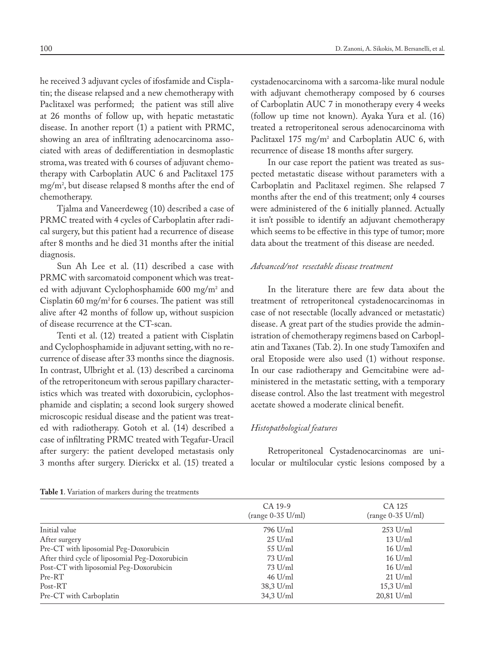he received 3 adjuvant cycles of ifosfamide and Cisplatin; the disease relapsed and a new chemotherapy with Paclitaxel was performed; the patient was still alive at 26 months of follow up, with hepatic metastatic disease. In another report (1) a patient with PRMC, showing an area of infiltrating adenocarcinoma associated with areas of dedifferentiation in desmoplastic stroma, was treated with 6 courses of adjuvant chemotherapy with Carboplatin AUC 6 and Paclitaxel 175 mg/m2 , but disease relapsed 8 months after the end of chemotherapy.

Tjalma and Vaneerdeweg (10) described a case of PRMC treated with 4 cycles of Carboplatin after radical surgery, but this patient had a recurrence of disease after 8 months and he died 31 months after the initial diagnosis.

Sun Ah Lee et al. (11) described a case with PRMC with sarcomatoid component which was treated with adjuvant Cyclophosphamide 600 mg/m2 and Cisplatin 60 mg/m<sup>2</sup> for 6 courses. The patient was still alive after 42 months of follow up, without suspicion of disease recurrence at the CT-scan.

Tenti et al. (12) treated a patient with Cisplatin and Cyclophosphamide in adjuvant setting, with no recurrence of disease after 33 months since the diagnosis. In contrast, Ulbright et al. (13) described a carcinoma of the retroperitoneum with serous papillary characteristics which was treated with doxorubicin, cyclophosphamide and cisplatin; a second look surgery showed microscopic residual disease and the patient was treated with radiotherapy. Gotoh et al. (14) described a case of infiltrating PRMC treated with Tegafur-Uracil after surgery: the patient developed metastasis only 3 months after surgery. Dierickx et al. (15) treated a cystadenocarcinoma with a sarcoma-like mural nodule with adjuvant chemotherapy composed by 6 courses of Carboplatin AUC 7 in monotherapy every 4 weeks (follow up time not known). Ayaka Yura et al. (16) treated a retroperitoneal serous adenocarcinoma with Paclitaxel 175  $mg/m^2$  and Carboplatin AUC 6, with recurrence of disease 18 months after surgery.

In our case report the patient was treated as suspected metastatic disease without parameters with a Carboplatin and Paclitaxel regimen. She relapsed 7 months after the end of this treatment; only 4 courses were administered of the 6 initially planned. Actually it isn't possible to identify an adjuvant chemotherapy which seems to be effective in this type of tumor; more data about the treatment of this disease are needed.

# *Advanced/not resectable disease treatment*

In the literature there are few data about the treatment of retroperitoneal cystadenocarcinomas in case of not resectable (locally advanced or metastatic) disease. A great part of the studies provide the administration of chemotherapy regimens based on Carboplatin and Taxanes (Tab. 2). In one study Tamoxifen and oral Etoposide were also used (1) without response. In our case radiotherapy and Gemcitabine were administered in the metastatic setting, with a temporary disease control. Also the last treatment with megestrol acetate showed a moderate clinical benefit.

# *Histopathological features*

Retroperitoneal Cystadenocarcinomas are unilocular or multilocular cystic lesions composed by a

|  |  |  |  |  |  |  |  | <b>Table 1.</b> Variation of markers during the treatments |  |
|--|--|--|--|--|--|--|--|------------------------------------------------------------|--|
|--|--|--|--|--|--|--|--|------------------------------------------------------------|--|

|                                                 | CA 19-9<br>$(range 0-35 U/ml)$ | CA 125<br>$(range 0-35 U/ml)$ |
|-------------------------------------------------|--------------------------------|-------------------------------|
| Initial value                                   | 796 U/ml                       | $253$ U/ml                    |
| After surgery                                   | $25$ U/ml                      | $13$ U/ml                     |
| Pre-CT with liposomial Peg-Doxorubicin          | $55$ U/ml                      | $16$ U/ml                     |
| After third cycle of liposomial Peg-Doxorubicin | $73$ U/ml                      | $16$ U/ml                     |
| Post-CT with liposomial Peg-Doxorubicin         | $73 \text{ U/ml}$              | $16$ U/ml                     |
| Pre-RT                                          | $46$ U/ml                      | $21$ U/ml                     |
| Post-RT                                         | 38,3 U/ml                      | 15,3 U/ml                     |
| Pre-CT with Carboplatin                         | 34,3 U/ml                      | 20,81 U/ml                    |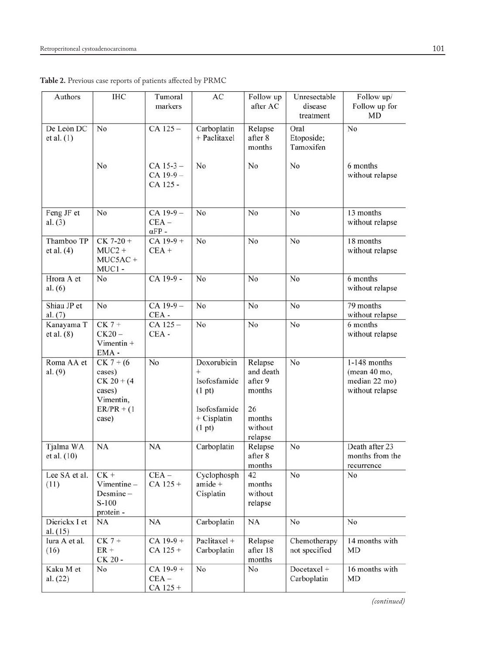| Authors                    | <b>IHC</b>                                                                              | Tumoral<br>markers                         | AC                                                                                      | Follow up<br>after AC                                                           | Unresectable<br>disease<br>treatment | Follow up/<br>Follow up for<br><b>MD</b>                           |
|----------------------------|-----------------------------------------------------------------------------------------|--------------------------------------------|-----------------------------------------------------------------------------------------|---------------------------------------------------------------------------------|--------------------------------------|--------------------------------------------------------------------|
| De Leòn DC<br>et al. $(1)$ | No                                                                                      | $CA$ 125 $-$                               | Carboplatin<br>+ Paclitaxel                                                             | Relapse<br>after 8<br>months                                                    | Oral<br>Etoposide;<br>Tamoxifen      | No                                                                 |
|                            | No                                                                                      | $CA$ 15-3 $-$<br>$CA$ 19-9 $-$<br>CA 125 - | No                                                                                      | No                                                                              | No                                   | 6 months<br>without relapse                                        |
| Feng JF et<br>al. $(3)$    | No                                                                                      | $CA$ 19-9 $-$<br>$CEA -$<br>$\alpha$ FP -  | No                                                                                      | No                                                                              | No                                   | 13 months<br>without relapse                                       |
| Thamboo TP<br>et al. (4)   | $CK 7-20 +$<br>$MUC2 +$<br>$MUC5AC +$<br>MUC1-                                          | $CA$ 19-9 +<br>$CEA +$                     | No                                                                                      | No                                                                              | No                                   | 18 months<br>without relapse                                       |
| Hrora A et<br>al. $(6)$    | No                                                                                      | CA 19-9 -                                  | No                                                                                      | No                                                                              | No                                   | 6 months<br>without relapse                                        |
| Shiau JP et<br>al. (7)     | No                                                                                      | $CA$ 19-9 $-$<br>CEA -                     | No                                                                                      | No                                                                              | No                                   | 79 months<br>without relapse                                       |
| Kanayama T<br>et al. (8)   | $CK 7 +$<br>$CK20 -$<br>Vimentin $+$<br>EMA-                                            | $CA$ 125 $-$<br>$CEA -$                    | No                                                                                      | No                                                                              | No                                   | 6 months<br>without relapse                                        |
| Roma AA et<br>al. (9)      | $CK 7 + (6)$<br>cases)<br>$CK 20 + (4)$<br>cases)<br>Vimentin,<br>$ER/PR + (1$<br>case) | No                                         | Doxorubicin<br>$+$<br>Isofosfamide<br>(1 pt)<br>Isofosfamide<br>$+$ Cisplatin<br>(1 pt) | Relapse<br>and death<br>after 9<br>months<br>26<br>months<br>without<br>relapse | No                                   | $1-148$ months<br>(mean 40 mo,<br>median 22 mo)<br>without relapse |
| Tjalma WA<br>et al. (10)   | NA                                                                                      | NA                                         | Carboplatin                                                                             | Relapse<br>after 8<br>months                                                    | No                                   | Death after 23<br>months from the<br>recurrence                    |
| Lee SA et al.<br>(11)      | $CK +$<br>$V$ imentine $-$<br>Desmine-<br>$S-100$<br>protein -                          | $CEA -$<br>$CA$ 125 +                      | Cyclophosph<br>$amide +$<br>Cisplatin                                                   | 42<br>months<br>without<br>relapse                                              | No                                   | $_{\rm No}$                                                        |
| Dierickx I et<br>al. (15)  | NA                                                                                      | NA                                         | Carboplatin                                                                             | NA                                                                              | No                                   | No                                                                 |
| Iura A et al.<br>(16)      | $CK 7 +$<br>$ER +$<br>CK 20 -                                                           | $CA$ 19-9 +<br>$CA$ 125 +                  | Paclitaxel +<br>Carboplatin                                                             | Relapse<br>after 18<br>months                                                   | Chemotherapy<br>not specified        | 14 months with<br><b>MD</b>                                        |
| Kaku M et<br>al. (22)      | No                                                                                      | $CA$ 19-9 +<br>$CEA -$<br>$CA$ 125 +       | No                                                                                      | No                                                                              | Docetaxel +<br>Carboplatin           | 16 months with<br><b>MD</b>                                        |

**Table 2.** Previous case reports of patients affected by PRMC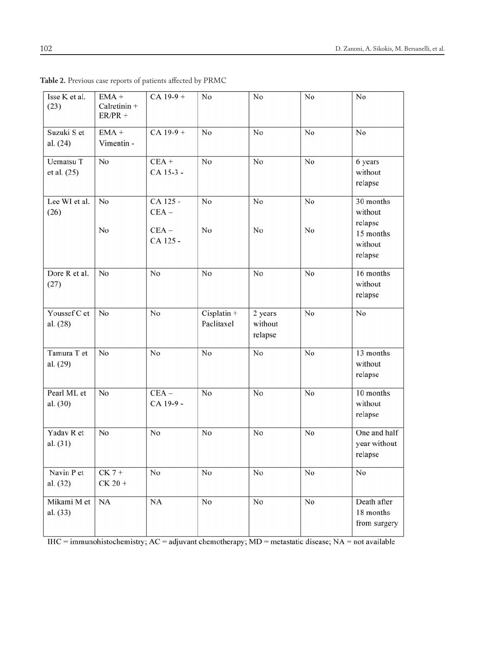| Isse K et al.<br>(23)           | $EMA +$<br>Calretinin +<br>$ER/PR +$ | $CA$ 19-9 +                                | No                          | No                            | No       | No                                                                 |
|---------------------------------|--------------------------------------|--------------------------------------------|-----------------------------|-------------------------------|----------|--------------------------------------------------------------------|
| Suzuki S et<br>al. (24)         | $EMA +$<br>Vimentin -                |                                            | No                          | No                            | No       | No                                                                 |
| <b>Uematsu T</b><br>et al. (25) | No                                   | $CEA +$<br>CA 15-3 -                       | No                          | No                            | No       | 6 years<br>without<br>relapse                                      |
| Lee WI et al.<br>(26)           | No<br>No                             | CA 125 -<br>$CEA -$<br>$CEA -$<br>CA 125 - | No<br>No                    | No<br>No                      | No<br>No | 30 months<br>without<br>relapse<br>15 months<br>without<br>relapse |
| Dore R et al.<br>(27)           | No                                   | No                                         | No                          | No                            | No       | 16 months<br>without<br>relapse                                    |
| Youssef C et<br>al. (28)        | No                                   | No                                         | $Cisplatin +$<br>Paclitaxel | 2 years<br>without<br>relapse | No       | No                                                                 |
| Tamura T et<br>al. (29)         | No                                   | No                                         | No                          | No                            | No       | 13 months<br>without<br>relapse                                    |
| Pearl ML et<br>al. (30)         | No                                   | $CEA -$<br>CA 19-9 -                       | No                          | No                            | No       | 10 months<br>without<br>relapse                                    |
| Yadav R et<br>al. (31)          | No                                   | No                                         | No                          | No                            | No       | One and half<br>year without<br>relapse                            |
| Navin P et<br>al. (32)          | $CK 7 +$<br>$CK 20 +$                | No                                         | No                          | No                            | No       | No                                                                 |
| Mikami M et<br>al. (33)         | NA                                   | <b>NA</b>                                  | No                          | No                            | No       | Death after<br>18 months<br>from surgery                           |

**Table 2.** Previous case reports of patients affected by PRMC

 $HIC = \frac{1}{\text{Immunohistochemistry; AC} = \text{adjuvant chemotherapy; MD} = \text{metastatic disease; NA} = \text{not available}}$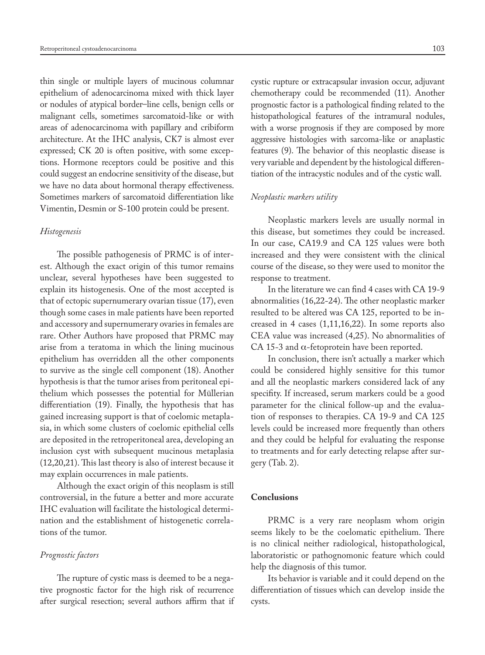thin single or multiple layers of mucinous columnar epithelium of adenocarcinoma mixed with thick layer or nodules of atypical border–line cells, benign cells or malignant cells, sometimes sarcomatoid-like or with areas of adenocarcinoma with papillary and cribiform architecture. At the IHC analysis, CK7 is almost ever expressed; CK 20 is often positive, with some exceptions. Hormone receptors could be positive and this could suggest an endocrine sensitivity of the disease, but we have no data about hormonal therapy effectiveness. Sometimes markers of sarcomatoid differentiation like Vimentin, Desmin or S-100 protein could be present.

#### *Histogenesis*

The possible pathogenesis of PRMC is of interest. Although the exact origin of this tumor remains unclear, several hypotheses have been suggested to explain its histogenesis. One of the most accepted is that of ectopic supernumerary ovarian tissue (17), even though some cases in male patients have been reported and accessory and supernumerary ovaries in females are rare. Other Authors have proposed that PRMC may arise from a teratoma in which the lining mucinous epithelium has overridden all the other components to survive as the single cell component (18). Another hypothesis is that the tumor arises from peritoneal epithelium which possesses the potential for Müllerian differentiation (19). Finally, the hypothesis that has gained increasing support is that of coelomic metaplasia, in which some clusters of coelomic epithelial cells are deposited in the retroperitoneal area, developing an inclusion cyst with subsequent mucinous metaplasia (12,20,21). This last theory is also of interest because it may explain occurrences in male patients.

Although the exact origin of this neoplasm is still controversial, in the future a better and more accurate IHC evaluation will facilitate the histological determination and the establishment of histogenetic correlations of the tumor.

#### *Prognostic factors*

The rupture of cystic mass is deemed to be a negative prognostic factor for the high risk of recurrence after surgical resection; several authors affirm that if cystic rupture or extracapsular invasion occur, adjuvant chemotherapy could be recommended (11). Another prognostic factor is a pathological finding related to the histopathological features of the intramural nodules, with a worse prognosis if they are composed by more aggressive histologies with sarcoma-like or anaplastic features (9). The behavior of this neoplastic disease is very variable and dependent by the histological differentiation of the intracystic nodules and of the cystic wall.

# *Neoplastic markers utility*

Neoplastic markers levels are usually normal in this disease, but sometimes they could be increased. In our case, CA19.9 and CA 125 values were both increased and they were consistent with the clinical course of the disease, so they were used to monitor the response to treatment.

In the literature we can find 4 cases with CA 19-9 abnormalities (16,22-24). The other neoplastic marker resulted to be altered was CA 125, reported to be increased in 4 cases (1,11,16,22). In some reports also CEA value was increased (4,25). No abnormalities of CA 15-3 and  $\alpha$ -fetoprotein have been reported.

In conclusion, there isn't actually a marker which could be considered highly sensitive for this tumor and all the neoplastic markers considered lack of any specifity. If increased, serum markers could be a good parameter for the clinical follow-up and the evaluation of responses to therapies. CA 19-9 and CA 125 levels could be increased more frequently than others and they could be helpful for evaluating the response to treatments and for early detecting relapse after surgery (Tab. 2).

### **Conclusions**

PRMC is a very rare neoplasm whom origin seems likely to be the coelomatic epithelium. There is no clinical neither radiological, histopathological, laboratoristic or pathognomonic feature which could help the diagnosis of this tumor.

Its behavior is variable and it could depend on the differentiation of tissues which can develop inside the cysts.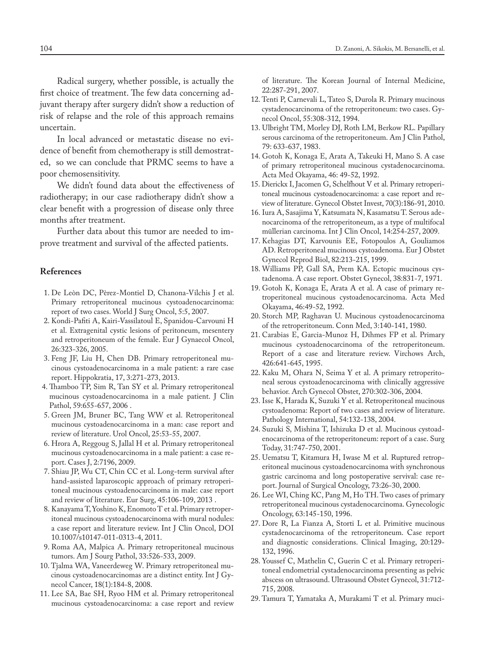Radical surgery, whether possible, is actually the first choice of treatment. The few data concerning adjuvant therapy after surgery didn't show a reduction of risk of relapse and the role of this approach remains uncertain.

In local advanced or metastatic disease no evidence of benefit from chemotherapy is still demostrated, so we can conclude that PRMC seems to have a poor chemosensitivity.

We didn't found data about the effectiveness of radiotherapy; in our case radiotherapy didn't show a clear benefit with a progression of disease only three months after treatment.

Further data about this tumor are needed to improve treatment and survival of the affected patients.

# **References**

- 1. De Leòn DC, Pèrez-Montiel D, Chanona-Vilchis J et al. Primary retroperitoneal mucinous cystoadenocarcinoma: report of two cases. World J Surg Oncol, 5:5, 2007.
- 2. Kondi-Pafiti A, Kairi-Vassilatoul E, Spanidou-Carvouni H et al. Extragenital cystic lesions of peritoneum, mesentery and retroperitoneum of the female. Eur J Gynaecol Oncol, 26:323-326, 2005.
- 3. Feng JF, Liu H, Chen DB. Primary retroperitoneal mucinous cystoadenocarcinoma in a male patient: a rare case report. Hippokratia, 17, 3:271-273, 2013.
- 4. Thamboo TP, Sim R, Tan SY et al. Primary retroperitoneal mucinous cystoadenocarcinoma in a male patient. J Clin Pathol, 59:655-657, 2006 .
- 5. Green JM, Bruner BC, Tang WW et al. Retroperitoneal mucinous cystoadenocarcinoma in a man: case report and review of literature. Urol Oncol, 25:53-55, 2007.
- 6. Hrora A, Reggoug S, Jallal H et al. Primary retroperitoneal mucinous cystoadenocarcinoma in a male patient: a case report. Cases J, 2:7196, 2009.
- 7. Shiau JP, Wu CT, Chin CC et al. Long-term survival after hand-assisted laparoscopic approach of primary retroperitoneal mucinous cystoadenocarcinoma in male: case report and review of literature. Eur Surg, 45:106-109, 2013 .
- 8. Kanayama T, Yoshino K, Enomoto T et al. Primary retroperitoneal mucinous cystoadenocarcinoma with mural nodules: a case report and literature review. Int J Clin Oncol, DOI 10.1007/s10147-011-0313-4, 2011.
- 9. Roma AA, Malpica A. Primary retroperitoneal mucinous tumors. Am J Sourg Pathol, 33:526-533, 2009.
- 10. Tjalma WA, Vaneerdeweg W. Primary retroperitoneal mucinous cystoadenocarcinomas are a distinct entity. Int J Gynecol Cancer, 18(1):184-8, 2008.
- 11. Lee SA, Bae SH, Ryoo HM et al. Primary retroperitoneal mucinous cystoadenocarcinoma: a case report and review

of literature. The Korean Journal of Internal Medicine, 22:287-291, 2007.

- 12. Tenti P, Carnevali L, Tateo S, Durola R. Primary mucinous cystadenocarcinoma of the retroperitoneum: two cases. Gynecol Oncol, 55:308-312, 1994.
- 13. Ulbright TM, Morley DJ, Roth LM, Berkow RL. Papillary serous carcinoma of the retroperitoneum. Am J Clin Pathol, 79: 633-637, 1983.
- 14. Gotoh K, Konaga E, Arata A, Takeuki H, Mano S. A case of primary retroperitoneal mucinous cystadenocarcinoma. Acta Med Okayama, 46: 49-52, 1992.
- 15. Dierickx I, Jacomen G, Schelfhout V et al. Primary retroperitoneal mucinous cystoadenocarcinoma: a case report and review of literature. Gynecol Obstet Invest, 70(3):186-91, 2010.
- 16. Iura A, Sasajima Y, Katsumata N, Kasamatsu T. Serous adenocarcinoma of the retroperitoneum, as a type of multifocal müllerian carcinoma. Int J Clin Oncol, 14:254-257, 2009.
- 17. Kehagias DT, Karvounis EE, Fotopoulos A, Gouliamos AD. Retroperitoneal mucinous cystoadenoma. Eur J Obstet Gynecol Reprod Biol, 82:213-215, 1999.
- 18. Williams PP, Gall SA, Prem KA. Ectopic mucinous cystadenoma. A case report. Obstet Gynecol, 38:831-7, 1971.
- 19. Gotoh K, Konaga E, Arata A et al. A case of primary retroperitoneal mucinous cystoadenocarcinoma. Acta Med Okayama, 46:49-52, 1992.
- 20. Storch MP, Raghavan U. Mucinous cystoadenocarcinoma of the retroperitoneum. Conn Med, 3:140-141, 1980.
- 21. Carabias E, Garcia-Munoz H, Dihmes FP et al. Primary mucinous cystoadenocarcinoma of the retroperitoneum. Report of a case and literature review. Virchows Arch, 426:641-645, 1995.
- 22. Kaku M, Ohara N, Seima Y et al. A primary retroperitoneal serous cystoadenocarcinoma with clinically aggressive behavior. Arch Gynecol Obstet, 270:302-306, 2004.
- 23. Isse K, Harada K, Suzuki Y et al. Retroperitoneal mucinous cystoadenoma: Report of two cases and review of literature. Pathology International, 54:132-138, 2004.
- 24. Suzuki S, Mishina T, Ishizuka D et al. Mucinous cystoadenocarcinoma of the retroperitoneum: report of a case. Surg Today, 31:747-750, 2001.
- 25. Uematsu T, Kitamura H, Iwase M et al. Ruptured retroperitoneal mucinous cystoadenocarcinoma with synchronous gastric carcinoma and long postoperative servival: case report. Journal of Surgical Oncology, 73:26-30, 2000.
- 26. Lee WI, Ching KC, Pang M, Ho TH. Two cases of primary retroperitoneal mucinous cystadenocarcinoma. Gynecologic Oncology, 63:145-150, 1996.
- 27. Dore R, La Fianza A, Storti L et al. Primitive mucinous cystadenocarcinoma of the retroperitoneum. Case report and diagnostic considerations. Clinical Imaging, 20:129- 132, 1996.
- 28. Youssef C, Mathelin C, Guerin C et al. Primary retroperitoneal endometrial cystadenocarcinoma presenting as pelvic abscess on ultrasound. Ultrasound Obstet Gynecol, 31:712- 715, 2008.
- 29. Tamura T, Yamataka A, Murakami T et al. Primary muci-